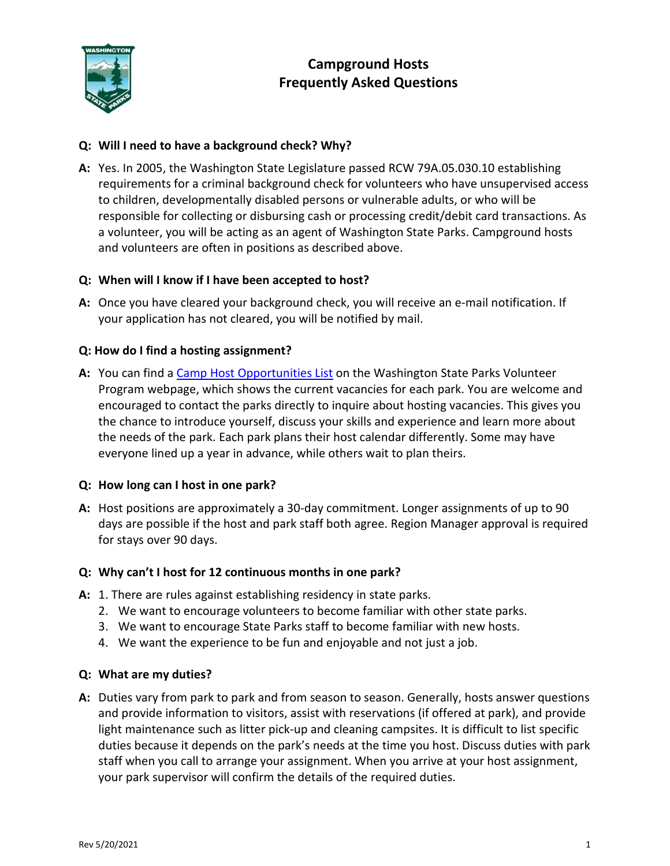

# **Campground Hosts Frequently Asked Questions**

# **Q: Will I need to have a background check? Why?**

**A:** Yes. In 2005, the Washington State Legislature passed RCW 79A.05.030.10 establishing requirements for a criminal background check for volunteers who have unsupervised access to children, developmentally disabled persons or vulnerable adults, or who will be responsible for collecting or disbursing cash or processing credit/debit card transactions. As a volunteer, you will be acting as an agent of Washington State Parks. Campground hosts and volunteers are often in positions as described above.

## **Q: When will I know if I have been accepted to host?**

**A:** Once you have cleared your background check, you will receive an e-mail notification. If your application has not cleared, you will be notified by mail.

## **Q: How do I find a hosting assignment?**

**A:** You can find a [Camp Host Opportunities List](https://parks.state.wa.us/DocumentCenter/View/1074/Camp-Host-Opportunities?bidId=) on the Washington State Parks Volunteer Program webpage, which shows the current vacancies for each park. You are welcome and encouraged to contact the parks directly to inquire about hosting vacancies. This gives you the chance to introduce yourself, discuss your skills and experience and learn more about the needs of the park. Each park plans their host calendar differently. Some may have everyone lined up a year in advance, while others wait to plan theirs.

## **Q: How long can I host in one park?**

**A:** Host positions are approximately a 30-day commitment. Longer assignments of up to 90 days are possible if the host and park staff both agree. Region Manager approval is required for stays over 90 days.

## **Q: Why can't I host for 12 continuous months in one park?**

- **A:** 1. There are rules against establishing residency in state parks.
	- 2. We want to encourage volunteers to become familiar with other state parks.
	- 3. We want to encourage State Parks staff to become familiar with new hosts.
	- 4. We want the experience to be fun and enjoyable and not just a job.

## **Q: What are my duties?**

**A:** Duties vary from park to park and from season to season. Generally, hosts answer questions and provide information to visitors, assist with reservations (if offered at park), and provide light maintenance such as litter pick-up and cleaning campsites. It is difficult to list specific duties because it depends on the park's needs at the time you host. Discuss duties with park staff when you call to arrange your assignment. When you arrive at your host assignment, your park supervisor will confirm the details of the required duties.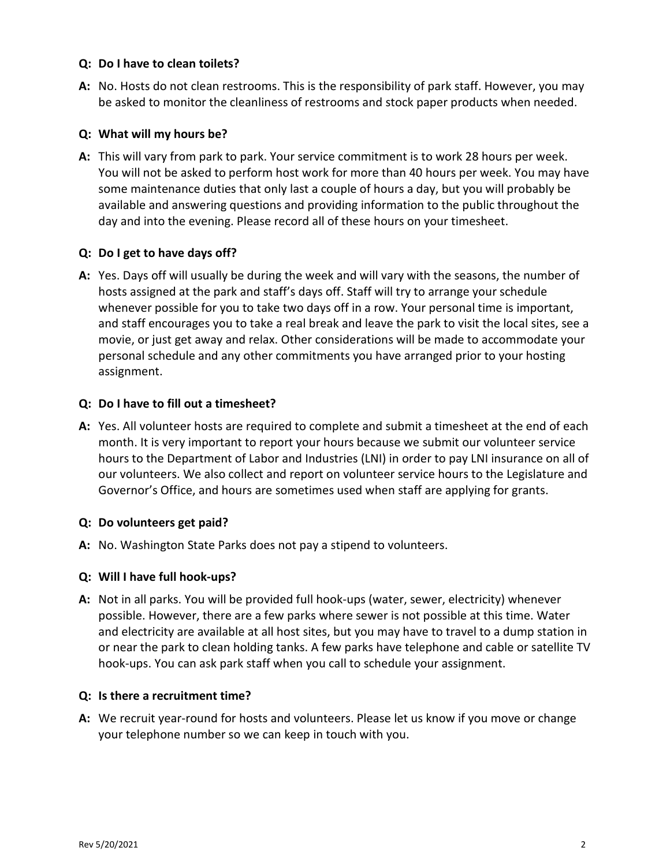## **Q: Do I have to clean toilets?**

**A:** No. Hosts do not clean restrooms. This is the responsibility of park staff. However, you may be asked to monitor the cleanliness of restrooms and stock paper products when needed.

## **Q: What will my hours be?**

**A:** This will vary from park to park. Your service commitment is to work 28 hours per week. You will not be asked to perform host work for more than 40 hours per week. You may have some maintenance duties that only last a couple of hours a day, but you will probably be available and answering questions and providing information to the public throughout the day and into the evening. Please record all of these hours on your timesheet.

## **Q: Do I get to have days off?**

**A:** Yes. Days off will usually be during the week and will vary with the seasons, the number of hosts assigned at the park and staff's days off. Staff will try to arrange your schedule whenever possible for you to take two days off in a row. Your personal time is important, and staff encourages you to take a real break and leave the park to visit the local sites, see a movie, or just get away and relax. Other considerations will be made to accommodate your personal schedule and any other commitments you have arranged prior to your hosting assignment.

## **Q: Do I have to fill out a timesheet?**

**A:** Yes. All volunteer hosts are required to complete and submit a timesheet at the end of each month. It is very important to report your hours because we submit our volunteer service hours to the Department of Labor and Industries (LNI) in order to pay LNI insurance on all of our volunteers. We also collect and report on volunteer service hours to the Legislature and Governor's Office, and hours are sometimes used when staff are applying for grants.

## **Q: Do volunteers get paid?**

**A:** No. Washington State Parks does not pay a stipend to volunteers.

## **Q: Will I have full hook-ups?**

**A:** Not in all parks. You will be provided full hook-ups (water, sewer, electricity) whenever possible. However, there are a few parks where sewer is not possible at this time. Water and electricity are available at all host sites, but you may have to travel to a dump station in or near the park to clean holding tanks. A few parks have telephone and cable or satellite TV hook-ups. You can ask park staff when you call to schedule your assignment.

## **Q: Is there a recruitment time?**

**A:** We recruit year-round for hosts and volunteers. Please let us know if you move or change your telephone number so we can keep in touch with you.